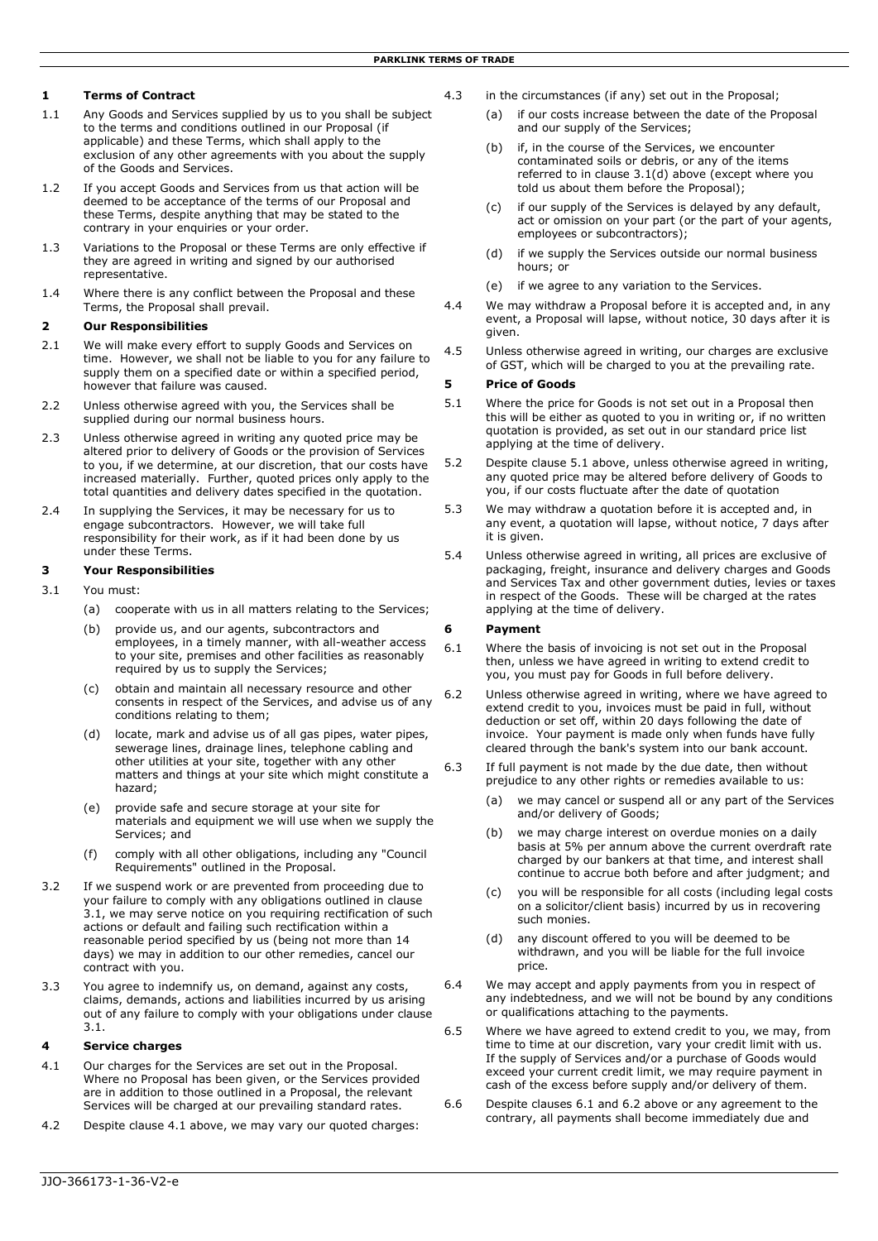## **1 Terms of Contract**

- 1.1 Any Goods and Services supplied by us to you shall be subject to the terms and conditions outlined in our Proposal (if applicable) and these Terms, which shall apply to the exclusion of any other agreements with you about the supply of the Goods and Services.
- 1.2 If you accept Goods and Services from us that action will be deemed to be acceptance of the terms of our Proposal and these Terms, despite anything that may be stated to the contrary in your enquiries or your order.
- 1.3 Variations to the Proposal or these Terms are only effective if they are agreed in writing and signed by our authorised representative.
- 1.4 Where there is any conflict between the Proposal and these Terms, the Proposal shall prevail.

#### **2 Our Responsibilities**

- 2.1 We will make every effort to supply Goods and Services on time. However, we shall not be liable to you for any failure to supply them on a specified date or within a specified period, however that failure was caused.
- 2.2 Unless otherwise agreed with you, the Services shall be supplied during our normal business hours.
- 2.3 Unless otherwise agreed in writing any quoted price may be altered prior to delivery of Goods or the provision of Services to you, if we determine, at our discretion, that our costs have increased materially. Further, quoted prices only apply to the total quantities and delivery dates specified in the quotation.
- 2.4 In supplying the Services, it may be necessary for us to engage subcontractors. However, we will take full responsibility for their work, as if it had been done by us under these Terms.

## **3 Your Responsibilities**

- 3.1 You must:
	- (a) cooperate with us in all matters relating to the Services;
	- (b) provide us, and our agents, subcontractors and employees, in a timely manner, with all-weather access to your site, premises and other facilities as reasonably required by us to supply the Services;
	- (c) obtain and maintain all necessary resource and other consents in respect of the Services, and advise us of any conditions relating to them;
	- (d) locate, mark and advise us of all gas pipes, water pipes, sewerage lines, drainage lines, telephone cabling and other utilities at your site, together with any other matters and things at your site which might constitute a hazard;
	- (e) provide safe and secure storage at your site for materials and equipment we will use when we supply the Services; and
	- (f) comply with all other obligations, including any "Council Requirements" outlined in the Proposal.
- 3.2 If we suspend work or are prevented from proceeding due to your failure to comply with any obligations outlined in clause 3.1, we may serve notice on you requiring rectification of such actions or default and failing such rectification within a reasonable period specified by us (being not more than 14 days) we may in addition to our other remedies, cancel our contract with you.
- 3.3 You agree to indemnify us, on demand, against any costs, claims, demands, actions and liabilities incurred by us arising out of any failure to comply with your obligations under clause 3.1.

### **4 Service charges**

- 4.1 Our charges for the Services are set out in the Proposal. Where no Proposal has been given, or the Services provided are in addition to those outlined in a Proposal, the relevant Services will be charged at our prevailing standard rates.
- 4.2 Despite clause 4.1 above, we may vary our quoted charges:
- 4.3 in the circumstances (if any) set out in the Proposal;
	- (a) if our costs increase between the date of the Proposal and our supply of the Services;
	- (b) if, in the course of the Services, we encounter contaminated soils or debris, or any of the items referred to in clause  $3.1(d)$  above (except where you told us about them before the Proposal);
	- (c) if our supply of the Services is delayed by any default, act or omission on your part (or the part of your agents, employees or subcontractors);
	- (d) if we supply the Services outside our normal business hours; or
	- (e) if we agree to any variation to the Services.
- 4.4 We may withdraw a Proposal before it is accepted and, in any event, a Proposal will lapse, without notice, 30 days after it is given.
- 4.5 Unless otherwise agreed in writing, our charges are exclusive of GST, which will be charged to you at the prevailing rate.

### **5 Price of Goods**

- 5.1 Where the price for Goods is not set out in a Proposal then this will be either as quoted to you in writing or, if no written quotation is provided, as set out in our standard price list applying at the time of delivery.
- 5.2 Despite clause 5.1 above, unless otherwise agreed in writing, any quoted price may be altered before delivery of Goods to you, if our costs fluctuate after the date of quotation
- 5.3 We may withdraw a quotation before it is accepted and, in any event, a quotation will lapse, without notice, 7 days after it is given.
- 5.4 Unless otherwise agreed in writing, all prices are exclusive of packaging, freight, insurance and delivery charges and Goods and Services Tax and other government duties, levies or taxes in respect of the Goods. These will be charged at the rates applying at the time of delivery.

#### **6 Payment**

- 6.1 Where the basis of invoicing is not set out in the Proposal then, unless we have agreed in writing to extend credit to you, you must pay for Goods in full before delivery.
- 6.2 Unless otherwise agreed in writing, where we have agreed to extend credit to you, invoices must be paid in full, without deduction or set off, within 20 days following the date of invoice. Your payment is made only when funds have fully cleared through the bank's system into our bank account.
- 6.3 If full payment is not made by the due date, then without prejudice to any other rights or remedies available to us:
	- (a) we may cancel or suspend all or any part of the Services and/or delivery of Goods;
	- (b) we may charge interest on overdue monies on a daily basis at 5% per annum above the current overdraft rate charged by our bankers at that time, and interest shall continue to accrue both before and after judgment; and
	- (c) you will be responsible for all costs (including legal costs on a solicitor/client basis) incurred by us in recovering such monies.
	- (d) any discount offered to you will be deemed to be withdrawn, and you will be liable for the full invoice price.
- 6.4 We may accept and apply payments from you in respect of any indebtedness, and we will not be bound by any conditions or qualifications attaching to the payments.
- 6.5 Where we have agreed to extend credit to you, we may, from time to time at our discretion, vary your credit limit with us. If the supply of Services and/or a purchase of Goods would exceed your current credit limit, we may require payment in cash of the excess before supply and/or delivery of them.
- 6.6 Despite clauses 6.1 and 6.2 above or any agreement to the contrary, all payments shall become immediately due and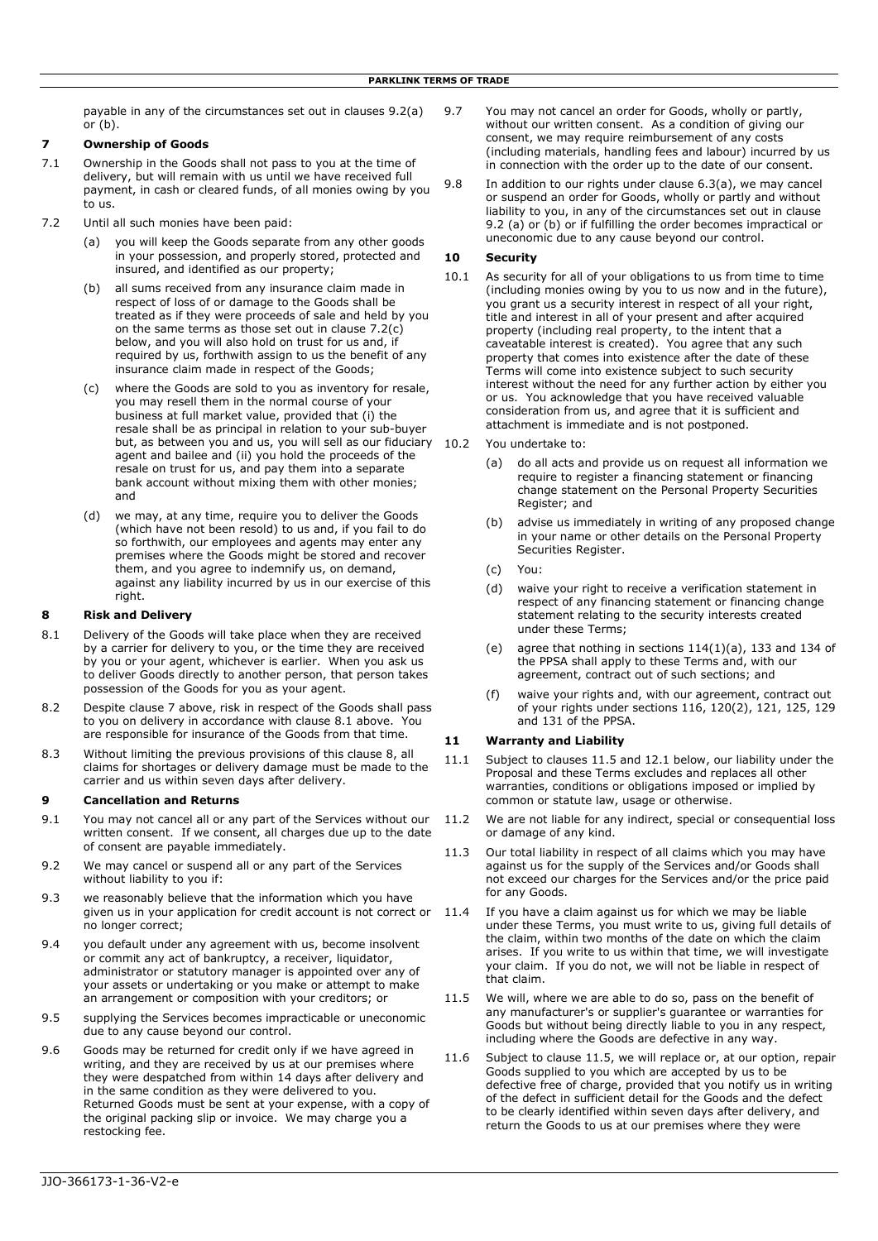payable in any of the circumstances set out in clauses 9.2(a) or (b).

### **7 Ownership of Goods**

- 7.1 Ownership in the Goods shall not pass to you at the time of delivery, but will remain with us until we have received full payment, in cash or cleared funds, of all monies owing by you to us.
- 7.2 Until all such monies have been paid:
	- (a) you will keep the Goods separate from any other goods in your possession, and properly stored, protected and insured, and identified as our property;
	- (b) all sums received from any insurance claim made in respect of loss of or damage to the Goods shall be treated as if they were proceeds of sale and held by you on the same terms as those set out in clause 7.2(c) below, and you will also hold on trust for us and, if required by us, forthwith assign to us the benefit of any insurance claim made in respect of the Goods;
	- (c) where the Goods are sold to you as inventory for resale, you may resell them in the normal course of your business at full market value, provided that (i) the resale shall be as principal in relation to your sub-buyer but, as between you and us, you will sell as our fiduciary 10.2 agent and bailee and (ii) you hold the proceeds of the resale on trust for us, and pay them into a separate bank account without mixing them with other monies; and
	- (d) we may, at any time, require you to deliver the Goods (which have not been resold) to us and, if you fail to do so forthwith, our employees and agents may enter any premises where the Goods might be stored and recover them, and you agree to indemnify us, on demand, against any liability incurred by us in our exercise of this right.

### **8 Risk and Delivery**

- 8.1 Delivery of the Goods will take place when they are received by a carrier for delivery to you, or the time they are received by you or your agent, whichever is earlier. When you ask us to deliver Goods directly to another person, that person takes possession of the Goods for you as your agent.
- 8.2 Despite clause 7 above, risk in respect of the Goods shall pass to you on delivery in accordance with clause 8.1 above. You are responsible for insurance of the Goods from that time.
- 8.3 Without limiting the previous provisions of this clause 8, all claims for shortages or delivery damage must be made to the carrier and us within seven days after delivery.

## **9 Cancellation and Returns**

- 9.1 You may not cancel all or any part of the Services without our written consent. If we consent, all charges due up to the date of consent are payable immediately.
- 9.2 We may cancel or suspend all or any part of the Services without liability to you if:
- 9.3 we reasonably believe that the information which you have given us in your application for credit account is not correct or 11.4 no longer correct;
- 9.4 you default under any agreement with us, become insolvent or commit any act of bankruptcy, a receiver, liquidator, administrator or statutory manager is appointed over any of your assets or undertaking or you make or attempt to make an arrangement or composition with your creditors; or
- 9.5 supplying the Services becomes impracticable or uneconomic due to any cause beyond our control.
- 9.6 Goods may be returned for credit only if we have agreed in writing, and they are received by us at our premises where they were despatched from within 14 days after delivery and in the same condition as they were delivered to you. Returned Goods must be sent at your expense, with a copy of the original packing slip or invoice. We may charge you a restocking fee.
- 9.7 You may not cancel an order for Goods, wholly or partly, without our written consent. As a condition of giving our consent, we may require reimbursement of any costs (including materials, handling fees and labour) incurred by us in connection with the order up to the date of our consent.
- 9.8 In addition to our rights under clause 6.3(a), we may cancel or suspend an order for Goods, wholly or partly and without liability to you, in any of the circumstances set out in clause 9.2 (a) or (b) or if fulfilling the order becomes impractical or uneconomic due to any cause beyond our control.

### **10 Security**

- 10.1 As security for all of your obligations to us from time to time (including monies owing by you to us now and in the future), you grant us a security interest in respect of all your right, title and interest in all of your present and after acquired property (including real property, to the intent that a caveatable interest is created). You agree that any such property that comes into existence after the date of these Terms will come into existence subject to such security interest without the need for any further action by either you or us. You acknowledge that you have received valuable consideration from us, and agree that it is sufficient and attachment is immediate and is not postponed.
	- You undertake to:
		- (a) do all acts and provide us on request all information we require to register a financing statement or financing change statement on the Personal Property Securities Register; and
		- (b) advise us immediately in writing of any proposed change in your name or other details on the Personal Property Securities Register.
		- (c) You:
		- (d) waive your right to receive a verification statement in respect of any financing statement or financing change statement relating to the security interests created under these Terms;
		- (e) agree that nothing in sections 114(1)(a), 133 and 134 of the PPSA shall apply to these Terms and, with our agreement, contract out of such sections; and
		- (f) waive your rights and, with our agreement, contract out of your rights under sections 116, 120(2), 121, 125, 129 and 131 of the PPSA.

## **11 Warranty and Liability**

- 11.1 Subject to clauses 11.5 and 12.1 below, our liability under the Proposal and these Terms excludes and replaces all other warranties, conditions or obligations imposed or implied by common or statute law, usage or otherwise.
- 11.2 We are not liable for any indirect, special or consequential loss or damage of any kind.
- 11.3 Our total liability in respect of all claims which you may have against us for the supply of the Services and/or Goods shall not exceed our charges for the Services and/or the price paid for any Goods.
- If you have a claim against us for which we may be liable under these Terms, you must write to us, giving full details of the claim, within two months of the date on which the claim arises. If you write to us within that time, we will investigate your claim. If you do not, we will not be liable in respect of that claim.
- 11.5 We will, where we are able to do so, pass on the benefit of any manufacturer's or supplier's guarantee or warranties for Goods but without being directly liable to you in any respect, including where the Goods are defective in any way.
- 11.6 Subject to clause 11.5, we will replace or, at our option, repair Goods supplied to you which are accepted by us to be defective free of charge, provided that you notify us in writing of the defect in sufficient detail for the Goods and the defect to be clearly identified within seven days after delivery, and return the Goods to us at our premises where they were